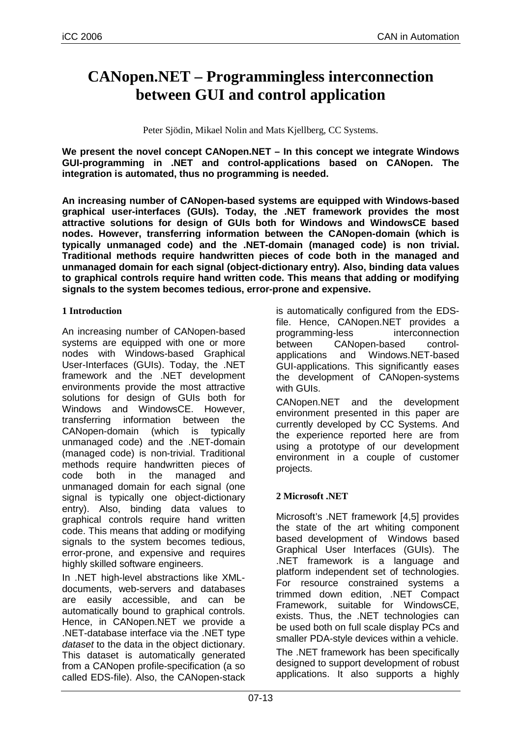# **CANopen.NET – Programmingless interconnection between GUI and control application**

Peter Sjödin, Mikael Nolin and Mats Kjellberg, CC Systems.

**We present the novel concept CANopen.NET – In this concept we integrate Windows GUI-programming in .NET and control-applications based on CANopen. The integration is automated, thus no programming is needed.** 

**An increasing number of CANopen-based systems are equipped with Windows-based graphical user-interfaces (GUIs). Today, the .NET framework provides the most attractive solutions for design of GUIs both for Windows and WindowsCE based nodes. However, transferring information between the CANopen-domain (which is typically unmanaged code) and the .NET-domain (managed code) is non trivial. Traditional methods require handwritten pieces of code both in the managed and unmanaged domain for each signal (object-dictionary entry). Also, binding data values to graphical controls require hand written code. This means that adding or modifying signals to the system becomes tedious, error-prone and expensive.** 

## **1 Introduction**

An increasing number of CANopen-based systems are equipped with one or more nodes with Windows-based Graphical User-Interfaces (GUIs). Today, the .NET framework and the .NET development environments provide the most attractive solutions for design of GUIs both for Windows and WindowsCE. However, transferring information between the CANopen-domain (which is typically unmanaged code) and the .NET-domain (managed code) is non-trivial. Traditional methods require handwritten pieces of code both in the managed and unmanaged domain for each signal (one signal is typically one object-dictionary entry). Also, binding data values to graphical controls require hand written code. This means that adding or modifying signals to the system becomes tedious, error-prone, and expensive and requires highly skilled software engineers.

In .NET high-level abstractions like XMLdocuments, web-servers and databases are easily accessible, and can be automatically bound to graphical controls. Hence, in CANopen.NET we provide a .NET-database interface via the .NET type dataset to the data in the object dictionary. This dataset is automatically generated from a CANopen profile-specification (a so called EDS-file). Also, the CANopen-stack

is automatically configured from the EDSfile. Hence, CANopen.NET provides a programming-less interconnection between CANopen-based controlapplications and Windows.NET-based GUI-applications. This significantly eases the development of CANopen-systems with GUIs.

CANopen.NET and the development environment presented in this paper are currently developed by CC Systems. And the experience reported here are from using a prototype of our development environment in a couple of customer projects.

# **2 Microsoft .NET**

Microsoft's .NET framework [4,5] provides the state of the art whiting component based development of Windows based Graphical User Interfaces (GUIs). The .NET framework is a language and platform independent set of technologies. For resource constrained systems a trimmed down edition, .NET Compact Framework, suitable for WindowsCE, exists. Thus, the .NET technologies can be used both on full scale display PCs and smaller PDA-style devices within a vehicle.

The .NET framework has been specifically designed to support development of robust applications. It also supports a highly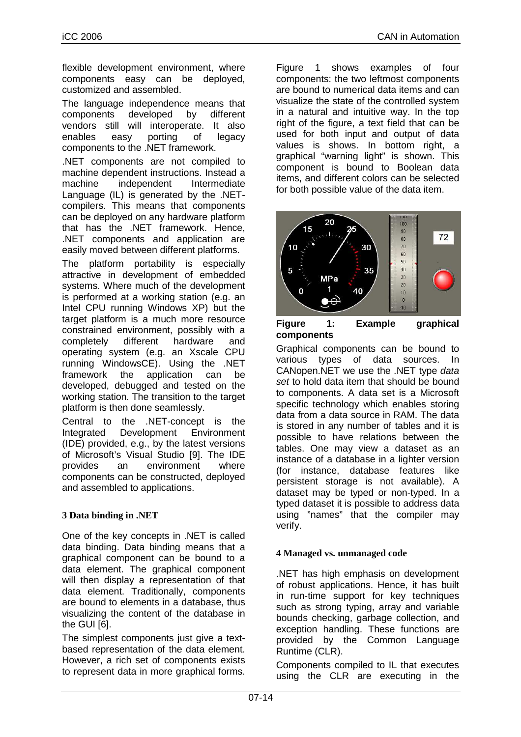flexible development environment, where components easy can be deployed, customized and assembled.

The language independence means that components developed by different vendors still will interoperate. It also enables easy porting of legacy components to the .NET framework.

.NET components are not compiled to machine dependent instructions. Instead a machine independent Intermediate Language (IL) is generated by the .NETcompilers. This means that components can be deployed on any hardware platform that has the .NET framework. Hence, .NET components and application are easily moved between different platforms.

The platform portability is especially attractive in development of embedded systems. Where much of the development is performed at a working station (e.g. an Intel CPU running Windows XP) but the target platform is a much more resource constrained environment, possibly with a completely different hardware and operating system (e.g. an Xscale CPU running WindowsCE). Using the .NET framework the application can be developed, debugged and tested on the working station. The transition to the target platform is then done seamlessly.

Central to the .NET-concept is the Integrated Development Environment (IDE) provided, e.g., by the latest versions of Microsoft's Visual Studio [9]. The IDE provides an environment where components can be constructed, deployed and assembled to applications.

## **3 Data binding in .NET**

One of the key concepts in .NET is called data binding. Data binding means that a graphical component can be bound to a data element. The graphical component will then display a representation of that data element. Traditionally, components are bound to elements in a database, thus visualizing the content of the database in the GUI [6].

The simplest components just give a textbased representation of the data element. However, a rich set of components exists to represent data in more graphical forms.

Figure 1 shows examples of four components: the two leftmost components are bound to numerical data items and can visualize the state of the controlled system in a natural and intuitive way. In the top right of the figure, a text field that can be used for both input and output of data values is shows. In bottom right, a graphical "warning light" is shown. This component is bound to Boolean data items, and different colors can be selected for both possible value of the data item.



**Figure 1: Example graphical components** 

Graphical components can be bound to various types of data sources. In CANopen.NET we use the .NET type data set to hold data item that should be bound to components. A data set is a Microsoft specific technology which enables storing data from a data source in RAM. The data is stored in any number of tables and it is possible to have relations between the tables. One may view a dataset as an instance of a database in a lighter version (for instance, database features like persistent storage is not available). A dataset may be typed or non-typed. In a typed dataset it is possible to address data using "names" that the compiler may verify.

## **4 Managed vs. unmanaged code**

.NET has high emphasis on development of robust applications. Hence, it has built in run-time support for key techniques such as strong typing, array and variable bounds checking, garbage collection, and exception handling. These functions are provided by the Common Language Runtime (CLR).

Components compiled to IL that executes using the CLR are executing in the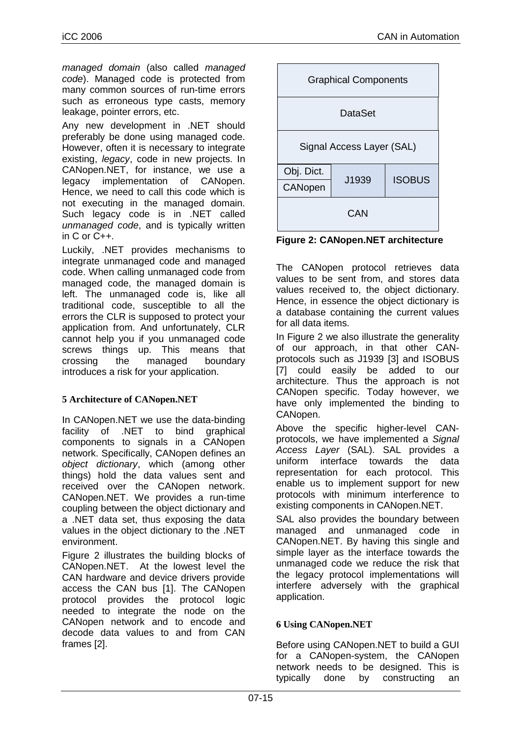managed domain (also called managed code). Managed code is protected from many common sources of run-time errors such as erroneous type casts, memory leakage, pointer errors, etc.

Any new development in .NET should preferably be done using managed code. However, often it is necessary to integrate existing, legacy, code in new projects. In CANopen.NET, for instance, we use a legacy implementation of CANopen. Hence, we need to call this code which is not executing in the managed domain. Such legacy code is in .NET called unmanaged code, and is typically written in  $C$  or  $C_{++}$ .

Luckily, .NET provides mechanisms to integrate unmanaged code and managed code. When calling unmanaged code from managed code, the managed domain is left. The unmanaged code is, like all traditional code, susceptible to all the errors the CLR is supposed to protect your application from. And unfortunately, CLR cannot help you if you unmanaged code screws things up. This means that crossing the managed boundary introduces a risk for your application.

# **5 Architecture of CANopen.NET**

In CANopen.NET we use the data-binding facility of .NET to bind graphical components to signals in a CANopen network. Specifically, CANopen defines an object dictionary, which (among other things) hold the data values sent and received over the CANopen network. CANopen.NET. We provides a run-time coupling between the object dictionary and a .NET data set, thus exposing the data values in the object dictionary to the .NET environment.

Figure 2 illustrates the building blocks of CANopen.NET. At the lowest level the CAN hardware and device drivers provide access the CAN bus [1]. The CANopen protocol provides the protocol logic needed to integrate the node on the CANopen network and to encode and decode data values to and from CAN frames [2].



**Figure 2: CANopen.NET architecture**

The CANopen protocol retrieves data values to be sent from, and stores data values received to, the object dictionary. Hence, in essence the object dictionary is a database containing the current values for all data items.

In Figure 2 we also illustrate the generality of our approach, in that other CANprotocols such as J1939 [3] and ISOBUS [7] could easily be added to our architecture. Thus the approach is not CANopen specific. Today however, we have only implemented the binding to CANopen.

Above the specific higher-level CANprotocols, we have implemented a Signal Access Layer (SAL). SAL provides a uniform interface towards the data representation for each protocol. This enable us to implement support for new protocols with minimum interference to existing components in CANopen.NET.

SAL also provides the boundary between managed and unmanaged code in CANopen.NET. By having this single and simple layer as the interface towards the unmanaged code we reduce the risk that the legacy protocol implementations will interfere adversely with the graphical application.

# **6 Using CANopen.NET**

Before using CANopen.NET to build a GUI for a CANopen-system, the CANopen network needs to be designed. This is typically done by constructing an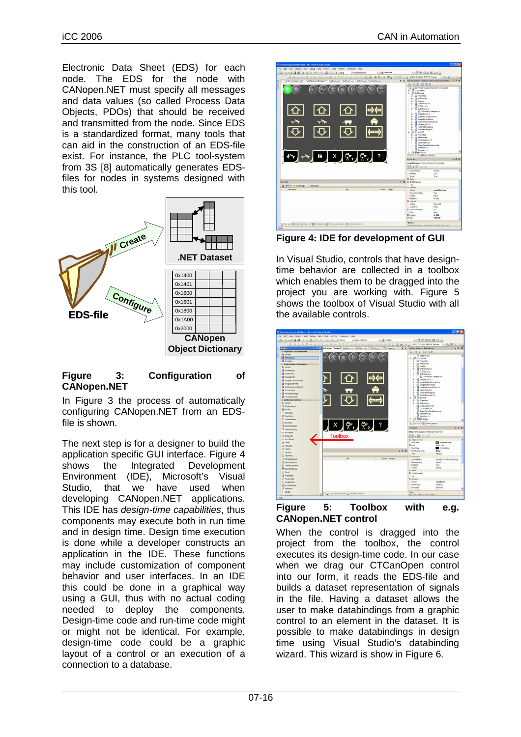Electronic Data Sheet (EDS) for each node. The EDS for the node with CANopen.NET must specify all messages and data values (so called Process Data Objects, PDOs) that should be received and transmitted from the node. Since EDS is a standardized format, many tools that can aid in the construction of an EDS-file exist. For instance, the PLC tool-system from 3S [8] automatically generates EDSfiles for nodes in systems designed with this tool.



#### **Figure 3: Configuration of CANopen.NET**

In Figure 3 the process of automatically configuring CANopen.NET from an EDSfile is shown.

The next step is for a designer to build the application specific GUI interface. Figure 4 shows the Integrated Development Environment (IDE), Microsoft's Visual Studio, that we have used when developing CANopen.NET applications. This IDE has design-time capabilities, thus components may execute both in run time and in design time. Design time execution is done while a developer constructs an application in the IDE. These functions may include customization of component behavior and user interfaces. In an IDE this could be done in a graphical way using a GUI, thus with no actual coding needed to deploy the components. Design-time code and run-time code might or might not be identical. For example, design-time code could be a graphic layout of a control or an execution of a connection to a database.



**Figure 4: IDE for development of GUI**

In Visual Studio, controls that have designtime behavior are collected in a toolbox which enables them to be dragged into the project you are working with. Figure 5 shows the toolbox of Visual Studio with all the available controls.



**Figure 5: Toolbox with e.g. CANopen.NET control** 

When the control is dragged into the project from the toolbox, the control executes its design-time code. In our case when we drag our CTCanOpen control into our form, it reads the EDS-file and builds a dataset representation of signals in the file. Having a dataset allows the user to make databindings from a graphic control to an element in the dataset. It is possible to make databindings in design time using Visual Studio's databinding wizard. This wizard is show in Figure 6.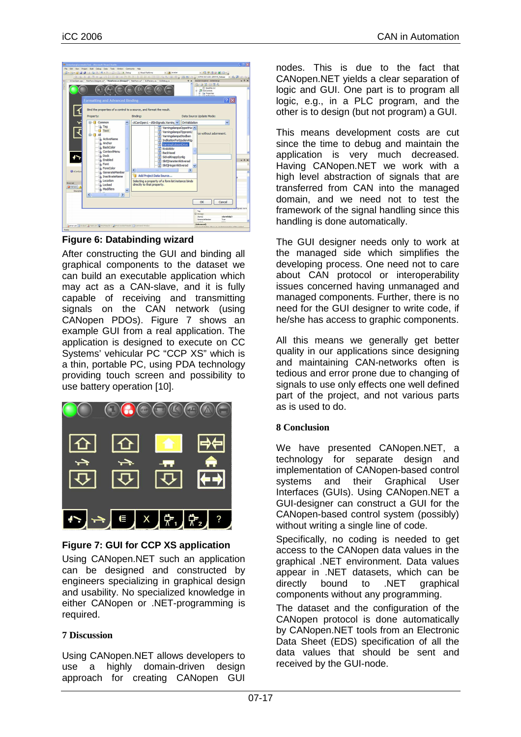| CCCarCpen.cpp   MainForm.Designer.cs* / HainForm.cs [Design]*   MainForm.cs*   GJIFactory.cs   GJIDebug.cs                                                                                                                                                                                                                         |                                                   |                                                                                                                                                                                                                                                                                                                                                                                   | X Solution Explorer - Zetterbergs                                               | - QTEXED<br>$-2x$                            |
|------------------------------------------------------------------------------------------------------------------------------------------------------------------------------------------------------------------------------------------------------------------------------------------------------------------------------------|---------------------------------------------------|-----------------------------------------------------------------------------------------------------------------------------------------------------------------------------------------------------------------------------------------------------------------------------------------------------------------------------------------------------------------------------------|---------------------------------------------------------------------------------|----------------------------------------------|
| <b>Formatting and Advanced Binding</b><br>Bind the properties of a control to a source, and format the result.                                                                                                                                                                                                                     |                                                   |                                                                                                                                                                                                                                                                                                                                                                                   | 高 3 司 国 局 名<br>[1] ReadMe.bct<br><b>VIT GUIControls</b><br><b>Ru Procerties</b> | $ ?  \times$                                 |
| Property:                                                                                                                                                                                                                                                                                                                          | Binding:                                          |                                                                                                                                                                                                                                                                                                                                                                                   | Data Source Update Mode:                                                        |                                              |
| E-II Common                                                                                                                                                                                                                                                                                                                        |                                                   | ctCanOpen1 - dtInSignals.Varninc v                                                                                                                                                                                                                                                                                                                                                | OnValidation                                                                    | $\checkmark$                                 |
| o Tag<br><b>Text</b><br><b>白田 All</b><br>ActiveName<br>Anchor<br>BackColor<br>ContextMenu<br>o Dock<br><b>C</b> Enabled<br>R <sub>o</sub> Font<br><b>PoreColor</b><br><b>SIR</b> dCanOpe<br>GenerateMember<br>nactivateName<br>Location<br>Error List<br><b>Q</b> Locked<br><b>Q</b> 0 Brors<br>Modifiers<br>Description<br>₹<br>m | $\overline{\left( \right)}$<br>m<br>$\rightarrow$ | VarningslampaOppetHu<br>Il VarningslampaTippramU<br>Il VarningslampaStodben<br>Il IndikationForbjudenAtg.<br>FI VarningRobsonDrive<br><b>E</b> KrokAktiv<br><b>El BackVaxel</b><br>SidvalKnappSvnlig<br>Ħ<br>SlirEjVansterAktiverad<br>m<br>E SlirEjHogerAktiverad<br>Add Project Data Source<br>Selecting a property of a form list instance binds<br>directly to that property. | $\rightarrow$                                                                   | ce without adornment.<br>$-1x$               |
|                                                                                                                                                                                                                                                                                                                                    |                                                   |                                                                                                                                                                                                                                                                                                                                                                                   | OK<br>Tag<br><b>B</b> Design<br>(Name)                                          | Cancel<br>Signals Varri<br><b>Falufimula</b> |
|                                                                                                                                                                                                                                                                                                                                    |                                                   |                                                                                                                                                                                                                                                                                                                                                                                   | GenerateMember                                                                  | True                                         |

## **Figure 6: Databinding wizard**

After constructing the GUI and binding all graphical components to the dataset we can build an executable application which may act as a CAN-slave, and it is fully capable of receiving and transmitting signals on the CAN network (using CANopen PDOs). Figure 7 shows an example GUI from a real application. The application is designed to execute on CC Systems' vehicular PC "CCP XS" which is a thin, portable PC, using PDA technology providing touch screen and possibility to use battery operation [10].



## **Figure 7: GUI for CCP XS application**

Using CANopen.NET such an application can be designed and constructed by engineers specializing in graphical design and usability. No specialized knowledge in either CANopen or .NET-programming is required.

#### **7 Discussion**

Using CANopen.NET allows developers to use a highly domain-driven design approach for creating CANopen GUI

nodes. This is due to the fact that CANopen.NET yields a clear separation of logic and GUI. One part is to program all logic, e.g., in a PLC program, and the other is to design (but not program) a GUI.

This means development costs are cut since the time to debug and maintain the application is very much decreased. Having CANopen.NET we work with a high level abstraction of signals that are transferred from CAN into the managed domain, and we need not to test the framework of the signal handling since this handling is done automatically.

The GUI designer needs only to work at the managed side which simplifies the developing process. One need not to care about CAN protocol or interoperability issues concerned having unmanaged and managed components. Further, there is no need for the GUI designer to write code, if he/she has access to graphic components.

All this means we generally get better quality in our applications since designing and maintaining CAN-networks often is tedious and error prone due to changing of signals to use only effects one well defined part of the project, and not various parts as is used to do.

## **8 Conclusion**

We have presented CANopen.NET, a technology for separate design and implementation of CANopen-based control systems and their Graphical User Interfaces (GUIs). Using CANopen.NET a GUI-designer can construct a GUI for the CANopen-based control system (possibly) without writing a single line of code.

Specifically, no coding is needed to get access to the CANopen data values in the graphical .NET environment. Data values appear in .NET datasets, which can be directly bound to .NET graphical components without any programming.

The dataset and the configuration of the CANopen protocol is done automatically by CANopen.NET tools from an Electronic Data Sheet (EDS) specification of all the data values that should be sent and received by the GUI-node.